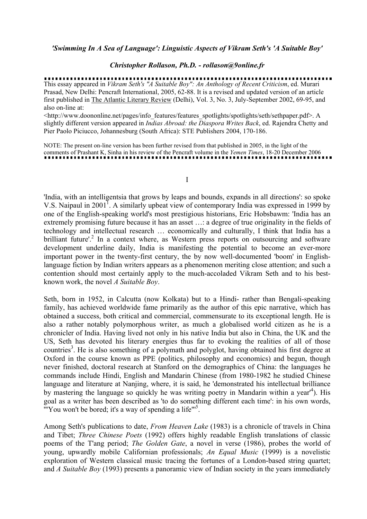### *Christopher Rollason, Ph.D. - rollason@9online.fr*

This essay appeared in *Vikram Seth's "A Suitable Boy": An Anthology of Recent Criticism*, ed. Murari Prasad, New Delhi: Pencraft International, 2005, 62-88. It is a revised and updated version of an article first published in The Atlantic Literary Review (Delhi), Vol. 3, No. 3, July-September 2002, 69-95, and also on-line at:

<http://www.doononline.net/pages/info\_features/features\_spotlights/spotlights/seth/sethpaper.pdf>. A slightly different version appeared in *Indias Abroad: the Diaspora Writes Back*, ed. Rajendra Chetty and Pier Paolo Piciucco, Johannesburg (South Africa): STE Publishers 2004, 170-186.

NOTE: The present on-line version has been further revised from that published in 2005, in the light of the comments of Prashant K, Sinha in his review of the Pencraft volume in the *Yemen Times*, 18-20 December 2006

I

'India, with an intelligentsia that grows by leaps and bounds, expands in all directions': so spoke V.S. Naipaul in 2001<sup>1</sup>. A similarly upbeat view of contemporary India was expressed in 1999 by one of the English-speaking world's most prestigious historians, Eric Hobsbawm: 'India has an extremely promising future because it has an asset ...: a degree of true originality in the fields of technology and intellectual research … economically and culturally, I think that India has a brilliant future'.<sup>2</sup> In a context where, as Western press reports on outsourcing and software development underline daily, India is manifesting the potential to become an ever-more important power in the twenty-first century, the by now well-documented 'boom' in Englishlanguage fiction by Indian writers appears as a phenomenon meriting close attention; and such a contention should most certainly apply to the much-accoladed Vikram Seth and to his bestknown work, the novel *A Suitable Boy*.

Seth, born in 1952, in Calcutta (now Kolkata) but to a Hindi- rather than Bengali-speaking family, has achieved worldwide fame primarily as the author of this epic narrative, which has obtained a success, both critical and commercial, commensurate to its exceptional length. He is also a rather notably polymorphous writer, as much a globalised world citizen as he is a chronicler of India. Having lived not only in his native India but also in China, the UK and the US, Seth has devoted his literary energies thus far to evoking the realities of all of those countries<sup>3</sup>. He is also something of a polymath and polyglot, having obtained his first degree at Oxford in the course known as PPE (politics, philosophy and economics) and begun, though never finished, doctoral research at Stanford on the demographics of China: the languages he commands include Hindi, English and Mandarin Chinese (from 1980-1982 he studied Chinese language and literature at Nanjing, where, it is said, he 'demonstrated his intellectual brilliance by mastering the language so quickly he was writing poetry in Mandarin within a year<sup>4</sup>). His goal as a writer has been described as 'to do something different each time': in his own words, "You won't be bored; it's a way of spending a life"<sup>5</sup>.

Among Seth's publications to date, *From Heaven Lake* (1983) is a chronicle of travels in China and Tibet; *Three Chinese Poets* (1992) offers highly readable English translations of classic poems of the T'ang period; *The Golden Gate*, a novel in verse (1986), probes the world of young, upwardly mobile Californian professionals; *An Equal Music* (1999) is a novelistic exploration of Western classical music tracing the fortunes of a London-based string quartet; and *A Suitable Boy* (1993) presents a panoramic view of Indian society in the years immediately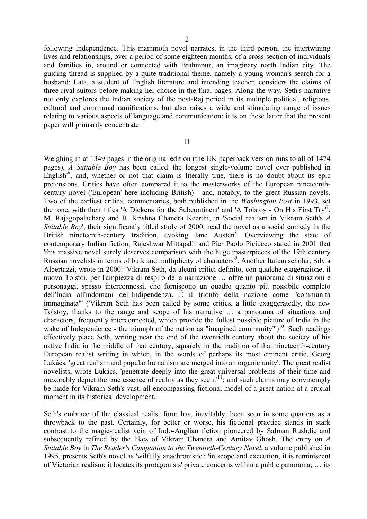following Independence. This mammoth novel narrates, in the third person, the intertwining lives and relationships, over a period of some eighteen months, of a cross-section of individuals and families in, around or connected with Brahmpur, an imaginary north Indian city. The guiding thread is supplied by a quite traditional theme, namely a young woman's search for a husband: Lata, a student of English literature and intending teacher, considers the claims of three rival suitors before making her choice in the final pages. Along the way, Seth's narrative not only explores the Indian society of the post-Raj period in its multiple political, religious, cultural and communal ramifications, but also raises a wide and stimulating range of issues relating to various aspects of language and communication: it is on these latter that the present paper will primarily concentrate.

II

Weighing in at 1349 pages in the original edition (the UK paperback version runs to all of 1474 pages), *A Suitable Boy* has been called 'the longest single-volume novel ever published in English<sup>16</sup>, and, whether or not that claim is literally true, there is no doubt about its epic pretensions. Critics have often compared it to the masterworks of the European nineteenthcentury novel ('European' here including British) - and, notably, to the great Russian novels. Two of the earliest critical commentaries, both published in the *Washington Post* in 1993, set the tone, with their titles 'A Dickens for the Subcontinent' and 'A Tolstoy - On His First Try'<sup>7</sup>. M. Rajagopalachary and B. Krishna Chandra Keerthi, in 'Social realism in Vikram Seth's *A Suitable Boy'*, their significantly titled study of 2000, read the novel as a social comedy in the British nineteenth-century tradition, evoking Jane Austen<sup>8</sup>. Overviewing the state of contemporary Indian fiction, Rajeshwar Mittapalli and Pier Paolo Piciucco stated in 2001 that 'this massive novel surely deserves comparison with the huge masterpieces of the 19th century Russian novelists in terms of bulk and multiplicity of characters<sup>19</sup>. Another Italian scholar, Silvia Albertazzi, wrote in 2000: 'Vikram Seth, da alcuni critici definito, con qualche esagerazione, il nuovo Tolstoi, per l'ampiezza di respiro della narrazione … offre un panorama di situazioni e personaggi, spesso interconnessi, che forniscono un quadro quanto più possibile completo dell'India all'indomani dell'Indipendenza. É il trionfo della nazione come "communità immaginata"' ('Vikram Seth has been called by some critics, a little exaggeratedly, the new Tolstoy, thanks to the range and scope of his narrative … a panorama of situations and characters, frequently interconnected, which provide the fullest possible picture of India in the wake of Independence - the triumph of the nation as "imagined community" $)^{10}$ . Such readings effectively place Seth, writing near the end of the twentieth century about the society of his native India in the middle of that century, squarely in the tradition of that nineteenth-century European realist writing in which, in the words of perhaps its most eminent critic, Georg Lukács, 'great realism and popular humanism are merged into an organic unity'. The great realist novelists, wrote Lukács, 'penetrate deeply into the great universal problems of their time and inexorably depict the true essence of reality as they see it<sup>11</sup>; and such claims may convincingly be made for Vikram Seth's vast, all-encompassing fictional model of a great nation at a crucial moment in its historical development.

Seth's embrace of the classical realist form has, inevitably, been seen in some quarters as a throwback to the past. Certainly, for better or worse, his fictional practice stands in stark contrast to the magic-realist vein of Indo-Anglian fiction pioneered by Salman Rushdie and subsequently refined by the likes of Vikram Chandra and Amitav Ghosh. The entry on *A Suitable Boy* in *The Reader's Companion to the Twentieth-Century Novel*, a volume published in 1995, presents Seth's novel as 'wilfully anachronistic': 'in scope and execution, it is reminiscent of Victorian realism; it locates its protagonists' private concerns within a public panorama; … its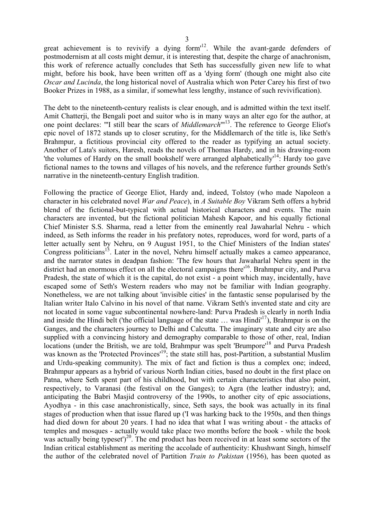great achievement is to revivify a dying form<sup> $12$ </sup>. While the avant-garde defenders of postmodernism at all costs might demur, it is interesting that, despite the charge of anachronism, this work of reference actually concludes that Seth has successfully given new life to what might, before his book, have been written off as a 'dying form' (though one might also cite *Oscar and Lucinda*, the long historical novel of Australia which won Peter Carey his first of two Booker Prizes in 1988, as a similar, if somewhat less lengthy, instance of such revivification).

The debt to the nineteenth-century realists is clear enough, and is admitted within the text itself. Amit Chatterji, the Bengali poet and suitor who is in many ways an alter ego for the author, at one point declares: "'I still bear the scars of *Middlemarch*'"13. The reference to George Eliot's epic novel of 1872 stands up to closer scrutiny, for the Middlemarch of the title is, like Seth's Brahmpur, a fictitious provincial city offered to the reader as typifying an actual society. Another of Lata's suitors, Haresh, reads the novels of Thomas Hardy, and in his drawing-room 'the volumes of Hardy on the small bookshelf were arranged alphabetically<sup> $14$ </sup>. Hardy too gave fictional names to the towns and villages of his novels, and the reference further grounds Seth's narrative in the nineteenth-century English tradition.

Following the practice of George Eliot, Hardy and, indeed, Tolstoy (who made Napoleon a character in his celebrated novel *War and Peace*), in *A Suitable Boy* Vikram Seth offers a hybrid blend of the fictional-but-typical with actual historical characters and events. The main characters are invented, but the fictional politician Mahesh Kapoor, and his equally fictional Chief Minister S.S. Sharma, read a letter from the eminently real Jawaharlal Nehru - which indeed, as Seth informs the reader in his prefatory notes, reproduces, word for word, parts of a letter actually sent by Nehru, on 9 August 1951, to the Chief Ministers of the Indian states' Congress politicians<sup>15</sup>. Later in the novel, Nehru himself actually makes a cameo appearance, and the narrator states in deadpan fashion: 'The few hours that Jawaharlal Nehru spent in the district had an enormous effect on all the electoral campaigns there'16. Brahmpur city, and Purva Pradesh, the state of which it is the capital, do not exist - a point which may, incidentally, have escaped some of Seth's Western readers who may not be familiar with Indian geography. Nonetheless, we are not talking about 'invisible cities' in the fantastic sense popularised by the Italian writer Italo Calvino in his novel of that name. Vikram Seth's invented state and city are not located in some vague subcontinental nowhere-land: Purva Pradesh is clearly in north India and inside the Hindi belt ('the official language of the state … was Hindi'17), Brahmpur is on the Ganges, and the characters journey to Delhi and Calcutta. The imaginary state and city are also supplied with a convincing history and demography comparable to those of other, real, Indian locations (under the British, we are told, Brahmpur was spelt 'Brumpore'<sup>18</sup> and Purva Pradesh was known as the 'Protected Provinces'<sup>19</sup>; the state still has, post-Partition, a substantial Muslim and Urdu-speaking community). The mix of fact and fiction is thus a complex one; indeed, Brahmpur appears as a hybrid of various North Indian cities, based no doubt in the first place on Patna, where Seth spent part of his childhood, but with certain characteristics that also point, respectively, to Varanasi (the festival on the Ganges); to Agra (the leather industry); and, anticipating the Babri Masjid controversy of the 1990s, to another city of epic associations, Ayodhya - in this case anachronistically, since, Seth says, the book was actually in its final stages of production when that issue flared up ('I was harking back to the 1950s, and then things had died down for about 20 years. I had no idea that what I was writing about - the attacks of temples and mosques - actually would take place two months before the book - while the book was actually being typeset' $)^{20}$ . The end product has been received in at least some sectors of the Indian critical establishment as meriting the accolade of authenticity: Khushwant Singh, himself the author of the celebrated novel of Partition *Train to Pakistan* (1956), has been quoted as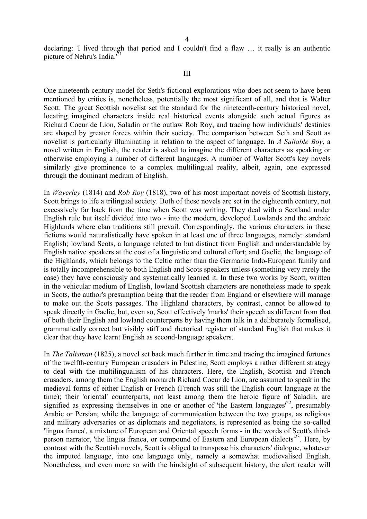declaring: 'I lived through that period and I couldn't find a flaw … it really is an authentic picture of Nehru's India.<sup>'21</sup>

#### III

One nineteenth-century model for Seth's fictional explorations who does not seem to have been mentioned by critics is, nonetheless, potentially the most significant of all, and that is Walter Scott. The great Scottish novelist set the standard for the nineteenth-century historical novel, locating imagined characters inside real historical events alongside such actual figures as Richard Coeur de Lion, Saladin or the outlaw Rob Roy, and tracing how individuals' destinies are shaped by greater forces within their society. The comparison between Seth and Scott as novelist is particularly illuminating in relation to the aspect of language. In *A Suitable Boy*, a novel written in English, the reader is asked to imagine the different characters as speaking or otherwise employing a number of different languages. A number of Walter Scott's key novels similarly give prominence to a complex multilingual reality, albeit, again, one expressed through the dominant medium of English.

In *Waverley* (1814) and *Rob Roy* (1818), two of his most important novels of Scottish history, Scott brings to life a trilingual society. Both of these novels are set in the eighteenth century, not excessively far back from the time when Scott was writing. They deal with a Scotland under English rule but itself divided into two - into the modern, developed Lowlands and the archaic Highlands where clan traditions still prevail. Correspondingly, the various characters in these fictions would naturalistically have spoken in at least one of three languages, namely: standard English; lowland Scots, a language related to but distinct from English and understandable by English native speakers at the cost of a linguistic and cultural effort; and Gaelic, the language of the Highlands, which belongs to the Celtic rather than the Germanic Indo-European family and is totally incomprehensible to both English and Scots speakers unless (something very rarely the case) they have consciously and systematically learned it. In these two works by Scott, written in the vehicular medium of English, lowland Scottish characters are nonetheless made to speak in Scots, the author's presumption being that the reader from England or elsewhere will manage to make out the Scots passages. The Highland characters, by contrast, cannot be allowed to speak directly in Gaelic, but, even so, Scott effectively 'marks' their speech as different from that of both their English and lowland counterparts by having them talk in a deliberately formalised, grammatically correct but visibly stiff and rhetorical register of standard English that makes it clear that they have learnt English as second-language speakers.

In *The Talisman* (1825), a novel set back much further in time and tracing the imagined fortunes of the twelfth-century European crusaders in Palestine, Scott employs a rather different strategy to deal with the multilingualism of his characters. Here, the English, Scottish and French crusaders, among them the English monarch Richard Coeur de Lion, are assumed to speak in the medieval forms of either English or French (French was still the English court language at the time); their 'oriental' counterparts, not least among them the heroic figure of Saladin, are signified as expressing themselves in one or another of 'the Eastern languages'<sup>22</sup>, presumably Arabic or Persian; while the language of communication between the two groups, as religious and military adversaries or as diplomats and negotiators, is represented as being the so-called 'lingua franca', a mixture of European and Oriental speech forms - in the words of Scott's thirdperson narrator, 'the lingua franca, or compound of Eastern and European dialects<sup> $23$ </sup>. Here, by contrast with the Scottish novels, Scott is obliged to transpose his characters' dialogue, whatever the imputed language, into one language only, namely a somewhat medievalised English. Nonetheless, and even more so with the hindsight of subsequent history, the alert reader will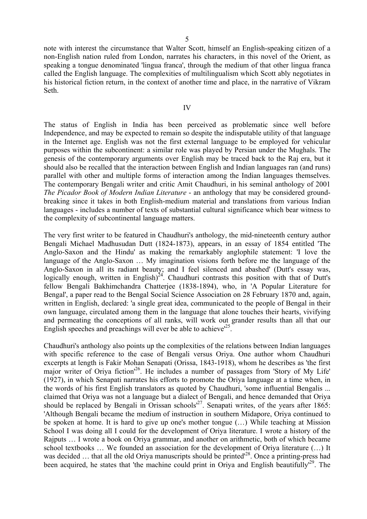note with interest the circumstance that Walter Scott, himself an English-speaking citizen of a non-English nation ruled from London, narrates his characters, in this novel of the Orient, as speaking a tongue denominated 'lingua franca', through the medium of that other lingua franca called the English language. The complexities of multilingualism which Scott ably negotiates in his historical fiction return, in the context of another time and place, in the narrative of Vikram Seth.

The status of English in India has been perceived as problematic since well before Independence, and may be expected to remain so despite the indisputable utility of that language in the Internet age. English was not the first external language to be employed for vehicular purposes within the subcontinent: a similar role was played by Persian under the Mughals. The genesis of the contemporary arguments over English may be traced back to the Raj era, but it should also be recalled that the interaction between English and Indian languages ran (and runs) parallel with other and multiple forms of interaction among the Indian languages themselves. The contemporary Bengali writer and critic Amit Chaudhuri, in his seminal anthology of 2001 *The Picador Book of Modern Indian Literature* - an anthology that may be considered groundbreaking since it takes in both English-medium material and translations from various Indian languages - includes a number of texts of substantial cultural significance which bear witness to the complexity of subcontinental language matters.

The very first writer to be featured in Chaudhuri's anthology, the mid-nineteenth century author Bengali Michael Madhusudan Dutt (1824-1873), appears, in an essay of 1854 entitled 'The Anglo-Saxon and the Hindu' as making the remarkably anglophile statement: 'I love the language of the Anglo-Saxon … My imagination visions forth before me the language of the Anglo-Saxon in all its radiant beauty; and I feel silenced and abashed' (Dutt's essay was, logically enough, written in English)<sup>24</sup>. Chaudhuri contrasts this position with that of Dutt's fellow Bengali Bakhimchandra Chatterjee (1838-1894), who, in 'A Popular Literature for Bengal', a paper read to the Bengal Social Science Association on 28 February 1870 and, again, written in English, declared: 'a single great idea, communicated to the people of Bengal in their own language, circulated among them in the language that alone touches their hearts, vivifying and permeating the conceptions of all ranks, will work out grander results than all that our English speeches and preachings will ever be able to achieve<sup> $25$ </sup>.

Chaudhuri's anthology also points up the complexities of the relations between Indian languages with specific reference to the case of Bengali versus Oriva. One author whom Chaudhuri excerpts at length is Fakir Mohan Senapati (Orissa, 1843-1918), whom he describes as 'the first major writer of Oriya fiction<sup>'26</sup>. He includes a number of passages from 'Story of My Life' (1927), in which Senapati narrates his efforts to promote the Oriya language at a time when, in the words of his first English translators as quoted by Chaudhuri, 'some influential Bengalis ... claimed that Oriya was not a language but a dialect of Bengali, and hence demanded that Oriya should be replaced by Bengali in Orissan schools<sup>27</sup>. Senapati writes, of the years after 1865: 'Although Bengali became the medium of instruction in southern Midapore, Oriya continued to be spoken at home. It is hard to give up one's mother tongue (…) While teaching at Mission School I was doing all I could for the development of Oriya literature. I wrote a history of the Rajputs … I wrote a book on Oriya grammar, and another on arithmetic, both of which became school textbooks … We founded an association for the development of Oriya literature (…) It was decided ... that all the old Oriya manuscripts should be printed<sup>128</sup>. Once a printing-press had been acquired, he states that 'the machine could print in Oriya and English beautifully<sup>129</sup>. The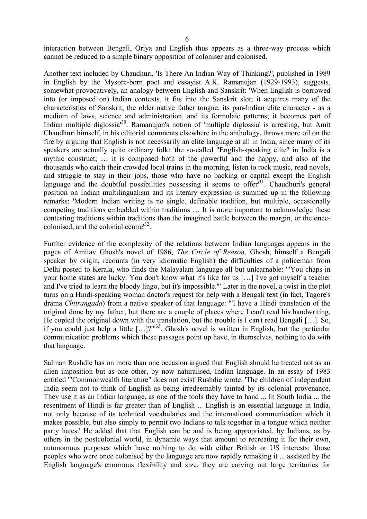interaction between Bengali, Oriya and English thus appears as a three-way process which cannot be reduced to a simple binary opposition of coloniser and colonised.

Another text included by Chaudhuri, 'Is There An Indian Way of Thinking?', published in 1989 in English by the Mysore-born poet and essayist A.K. Ramanujan (1929-1993), suggests, somewhat provocatively, an analogy between English and Sanskrit: 'When English is borrowed into (or imposed on) Indian contexts, it fits into the Sanskrit slot; it acquires many of the characteristics of Sanskrit, the older native father tongue, its pan-Indian elite character - as a medium of laws, science and administration, and its formulaic patterns; it becomes part of Indian multiple diglossia<sup>30</sup>. Ramanujan's notion of 'multiple diglossia' is arresting, but Amit Chaudhuri himself, in his editorial comments elsewhere in the anthology, throws more oil on the fire by arguing that English is not necessarily an elite language at all in India, since many of its speakers are actually quite ordinary folk: 'the so-called "English-speaking elite" in India is a mythic construct; … it is composed both of the powerful and the happy, and also of the thousands who catch their crowded local trains in the morning, listen to rock music, read novels, and struggle to stay in their jobs, those who have no backing or capital except the English language and the doubtful possibilities possessing it seems to offer<sup>31</sup>. Chaudhuri's general position on Indian multilingualism and its literary expression is summed up in the following remarks: 'Modern Indian writing is no single, definable tradition, but multiple, occasionally competing traditions embedded within traditions … It is more important to acknowledge these contesting traditions within traditions than the imagined battle between the margin, or the oncecolonised, and the colonial centre'32.

Further evidence of the complexity of the relations between Indian languages appears in the pages of Amitav Ghosh's novel of 1986, *The Circle of Reason*. Ghosh, himself a Bengali speaker by origin, recounts (in very idiomatic English) the difficulties of a policeman from Delhi posted to Kerala, who finds the Malayalam language all but unlearnable: '"You chaps in your home states are lucky. You don't know what it's like for us […] I've got myself a teacher and I've tried to learn the bloody lingo, but it's impossible."' Later in the novel, a twist in the plot turns on a Hindi-speaking woman doctor's request for help with a Bengali text (in fact, Tagore's drama *Chitrangada*) from a native speaker of that language: "'I have a Hindi translation of the original done by my father, but there are a couple of places where I can't read his handwriting. He copied the original down with the translation, but the trouble is I can't read Bengali […]. So, if you could just help a little  $[\dots]$ ?"<sup>33</sup>. Ghosh's novel is written in English, but the particular communication problems which these passages point up have, in themselves, nothing to do with that language.

Salman Rushdie has on more than one occasion argued that English should be treated not as an alien imposition but as one other, by now naturalised, Indian language. In an essay of 1983 entitled '"Commonwealth literature" does not exist' Rushdie wrote: 'The children of independent India seem not to think of English as being irredeemably tainted by its colonial provenance. They use it as an Indian language, as one of the tools they have to hand ... In South India ... the resentment of Hindi is far greater than of English ... English is an essential language in India, not only because of its technical vocabularies and the international communication which it makes possible, but also simply to permit two Indians to talk together in a tongue which neither party hates.' He added that that English can be and is being appropriated, by Indians, as by others in the postcolonial world, in dynamic ways that amount to recreating it for their own, autonomous purposes which have nothing to do with either British or US interests: 'those peoples who were once colonised by the language are now rapidly remaking it ... assisted by the English language's enormous flexibility and size, they are carving out large territories for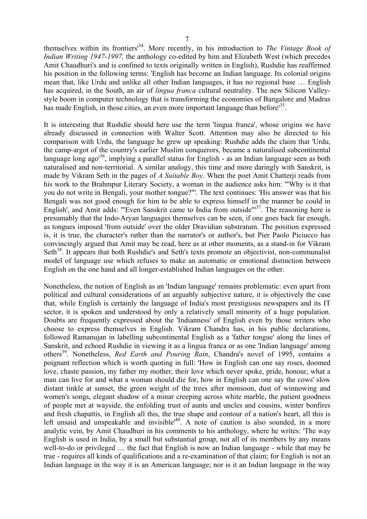themselves within its frontiers'34. More recently, in his introduction to *The Vintage Book of Indian Writing 1947-1997,* the anthology co-edited by him and Elizabeth West (which precedes Amit Chaudhuri's and is confined to texts originally written in English), Rushdie has reaffirmed his position in the following terms: 'English has become an Indian language. Its colonial origins mean that, like Urdu and unlike all other Indian languages, it has no regional base … English has acquired, in the South, an air of *lingua franca* cultural neutrality. The new Silicon Valleystyle boom in computer technology that is transforming the economies of Bangalore and Madras has made English, in those cities, an even more important language than before<sup>35</sup>.

It is interesting that Rushdie should here use the term 'lingua franca', whose origins we have already discussed in connection with Walter Scott. Attention may also be directed to his comparison with Urdu, the language he grew up speaking: Rushdie adds the claim that 'Urdu, the camp-argot of the country's earlier Muslim conquerors, became a naturalised subcontinental language long ago<sup>36</sup>, implying a parallel status for English - as an Indian language seen as both naturalised and non-territorial. A similar analogy, this time and more daringly with Sanskrit, is made by Vikram Seth in the pages of *A Suitable Boy*. When the poet Amit Chatterji reads from his work to the Brahmpur Literary Society, a woman in the audience asks him: '"Why is it that you do not write in Bengali, your mother tongue?"'. The text continues: 'His answer was that his Bengali was not good enough for him to be able to express himself in the manner he could in English', and Amit adds: "Even Sanskrit came to India from outside"<sup>37</sup>. The reasoning here is presumably that the Indo-Aryan languages themselves can be seen, if one goes back far enough, as tongues imposed 'from outside' over the older Dravidian substratum. The position expressed is, it is true, the character's rather than the narrator's or author's, but Pier Paolo Piciucco has convincingly argued that Amit may be read, here as at other moments, as a stand-in for Vikram Seth<sup>38</sup>. It appears that both Rushdie's and Seth's texts promote an objectivist, non-communalist model of language use which refuses to make an automatic or emotional distinction between English on the one hand and all longer-established Indian languages on the other.

Nonetheless, the notion of English as an 'Indian language' remains problematic: even apart from political and cultural considerations of an arguably subjective nature, it is objectively the case that, while English is certainly the language of India's most prestigious newspapers and its IT sector, it is spoken and understood by only a relatively small minority of a huge population. Doubts are frequently expressed about the 'Indianness' of English even by those writers who choose to express themselves in English. Vikram Chandra has, in his public declarations, followed Ramanujan in labelling subcontinental English as a 'father tongue' along the lines of Sanskrit, and echoed Rushdie in viewing it as a lingua franca or as one 'Indian language' among others39. Nonetheless, *Red Earth and Pouring Rain*, Chandra's novel of 1995, contains a poignant reflection which is worth quoting in full: 'How in English can one say roses, doomed love, chaste passion, my father my mother, their love which never spoke, pride, honour, what a man can live for and what a woman should die for, how in English can one say the cows' slow distant tinkle at sunset, the green weight of the trees after monsoon, dust of winnowing and women's songs, elegant shadow of a minar creeping across white marble, the patient goodness of people met at wayside, the enfolding trust of aunts and uncles and cousins, winter bonfires and fresh chapattis, in English all this, the true shape and contour of a nation's heart, all this is left unsaid and unspeakable and invisible<sup>140</sup>. A note of caution is also sounded, in a more analytic vein, by Amit Chaudhuri in his comments to his anthology, where he writes: 'The way English is used in India, by a small but substantial group, not all of its members by any means well-to-do or privileged … the fact that English is now an Indian language - while that may be true - requires all kinds of qualifications and a re-examination of that claim; for English is not an Indian language in the way it is an American language; nor is it an Indian language in the way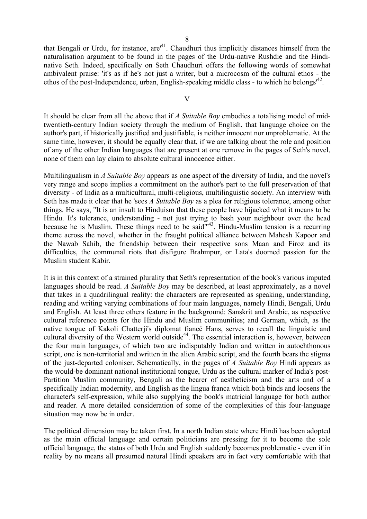that Bengali or Urdu, for instance,  $are^{41}$ . Chaudhuri thus implicitly distances himself from the naturalisation argument to be found in the pages of the Urdu-native Rushdie and the Hindinative Seth. Indeed, specifically on Seth Chaudhuri offers the following words of somewhat ambivalent praise: 'it's as if he's not just a writer, but a microcosm of the cultural ethos - the ethos of the post-Independence, urban, English-speaking middle class - to which he belongs<sup> $42$ </sup>.

#### V

It should be clear from all the above that if *A Suitable Boy* embodies a totalising model of midtwentieth-century Indian society through the medium of English, that language choice on the author's part, if historically justified and justifiable, is neither innocent nor unproblematic. At the same time, however, it should be equally clear that, if we are talking about the role and position of any of the other Indian languages that are present at one remove in the pages of Seth's novel, none of them can lay claim to absolute cultural innocence either.

Multilingualism in *A Suitable Boy* appears as one aspect of the diversity of India, and the novel's very range and scope implies a commitment on the author's part to the full preservation of that diversity - of India as a multicultural, multi-religious, multilinguistic society. An interview with Seth has made it clear that he 'sees *A Suitable Boy* as a plea for religious tolerance, among other things. He says, "It is an insult to Hinduism that these people have hijacked what it means to be Hindu. It's tolerance, understanding - not just trying to bash your neighbour over the head because he is Muslim. These things need to be said"'43. Hindu-Muslim tension is a recurring theme across the novel, whether in the fraught political alliance between Mahesh Kapoor and the Nawab Sahib, the friendship between their respective sons Maan and Firoz and its difficulties, the communal riots that disfigure Brahmpur, or Lata's doomed passion for the Muslim student Kabir.

It is in this context of a strained plurality that Seth's representation of the book's various imputed languages should be read. *A Suitable Boy* may be described, at least approximately, as a novel that takes in a quadrilingual reality: the characters are represented as speaking, understanding, reading and writing varying combinations of four main languages, namely Hindi, Bengali, Urdu and English. At least three others feature in the background: Sanskrit and Arabic, as respective cultural reference points for the Hindu and Muslim communities; and German, which, as the native tongue of Kakoli Chatterji's diplomat fiancé Hans, serves to recall the linguistic and cultural diversity of the Western world outside<sup>44</sup>. The essential interaction is, however, between the four main languages, of which two are indisputably Indian and written in autochthonous script, one is non-territorial and written in the alien Arabic script, and the fourth bears the stigma of the just-departed coloniser. Schematically, in the pages of *A Suitable Boy* Hindi appears as the would-be dominant national institutional tongue, Urdu as the cultural marker of India's post-Partition Muslim community, Bengali as the bearer of aestheticism and the arts and of a specifically Indian modernity, and English as the lingua franca which both binds and loosens the character's self-expression, while also supplying the book's matricial language for both author and reader. A more detailed consideration of some of the complexities of this four-language situation may now be in order.

The political dimension may be taken first. In a north Indian state where Hindi has been adopted as the main official language and certain politicians are pressing for it to become the sole official language, the status of both Urdu and English suddenly becomes problematic - even if in reality by no means all presumed natural Hindi speakers are in fact very comfortable with that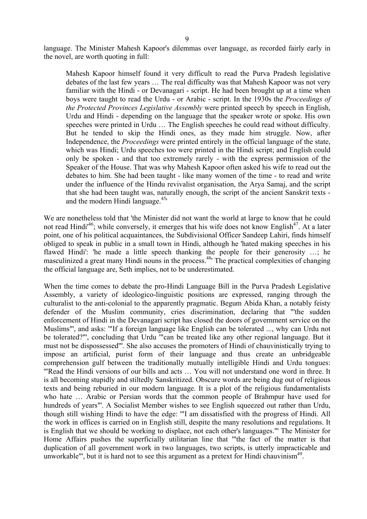language. The Minister Mahesh Kapoor's dilemmas over language, as recorded fairly early in the novel, are worth quoting in full:

Mahesh Kapoor himself found it very difficult to read the Purva Pradesh legislative debates of the last few years … The real difficulty was that Mahesh Kapoor was not very familiar with the Hindi - or Devanagari - script. He had been brought up at a time when boys were taught to read the Urdu - or Arabic - script. In the 1930s the *Proceedings of the Protected Provinces Legislative Assembly* were printed speech by speech in English, Urdu and Hindi - depending on the language that the speaker wrote or spoke. His own speeches were printed in Urdu … The English speeches he could read without difficulty. But he tended to skip the Hindi ones, as they made him struggle. Now, after Independence, the *Proceedings* were printed entirely in the official language of the state, which was Hindi; Urdu speeches too were printed in the Hindi script; and English could only be spoken - and that too extremely rarely - with the express permission of the Speaker of the House. That was why Mahesh Kapoor often asked his wife to read out the debates to him. She had been taught - like many women of the time - to read and write under the influence of the Hindu revivalist organisation, the Arya Samaj, and the script that she had been taught was, naturally enough, the script of the ancient Sanskrit texts and the modern Hindi language. $45'$ 

We are nonetheless told that 'the Minister did not want the world at large to know that he could not read Hindi<sup>46</sup>; while conversely, it emerges that his wife does not know English<sup>47</sup>. At a later point, one of his political acquaintances, the Subdivisional Officer Sandeep Lahiri, finds himself obliged to speak in public in a small town in Hindi, although he 'hated making speeches in his flawed Hindi': 'he made a little speech thanking the people for their generosity …; he masculinized a great many Hindi nouns in the process.<sup>48</sup> The practical complexities of changing the official language are, Seth implies, not to be underestimated.

When the time comes to debate the pro-Hindi Language Bill in the Purva Pradesh Legislative Assembly, a variety of ideologico-linguistic positions are expressed, ranging through the culturalist to the anti-colonial to the apparently pragmatic. Begum Abida Khan, a notably feisty defender of the Muslim community, cries discrimination, declaring that "'the sudden enforcement of Hindi in the Devanagari script has closed the doors of government service on the Muslims"', and asks: '"If a foreign language like English can be tolerated ..., why can Urdu not be tolerated?"', concluding that Urdu '"can be treated like any other regional language. But it must not be dispossessed"'. She also accuses the promoters of Hindi of chauvinistically trying to impose an artificial, purist form of their language and thus create an unbridgeable comprehension gulf between the traditionally mutually intelligible Hindi and Urdu tongues: '"Read the Hindi versions of our bills and acts … You will not understand one word in three. It is all becoming stupidly and stiltedly Sanskritized. Obscure words are being dug out of religious texts and being reburied in our modern language. It is a plot of the religious fundamentalists who hate … Arabic or Persian words that the common people of Brahmpur have used for hundreds of years"'. A Socialist Member wishes to see English squeezed out rather than Urdu, though still wishing Hindi to have the edge: '"I am dissatisfied with the progress of Hindi. All the work in offices is carried on in English still, despite the many resolutions and regulations. It is English that we should be working to displace, not each other's languages."' The Minister for Home Affairs pushes the superficially utilitarian line that '"the fact of the matter is that duplication of all government work in two languages, two scripts, is utterly impracticable and unworkable"', but it is hard not to see this argument as a pretext for Hindi chauvinism $49$ .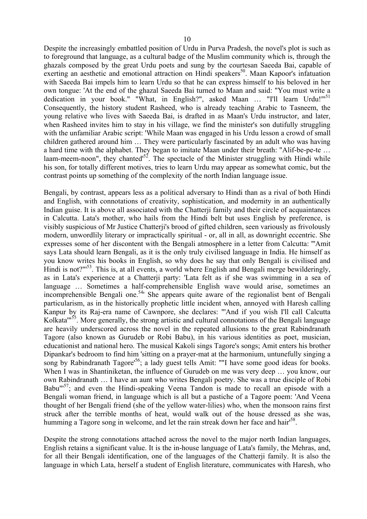Despite the increasingly embattled position of Urdu in Purva Pradesh, the novel's plot is such as to foreground that language, as a cultural badge of the Muslim community which is, through the ghazals composed by the great Urdu poets and sung by the courtesan Saeeda Bai, capable of exerting an aesthetic and emotional attraction on Hindi speakers<sup>50</sup>. Maan Kapoor's infatuation with Saeeda Bai impels him to learn Urdu so that he can express himself to his beloved in her own tongue: 'At the end of the ghazal Saeeda Bai turned to Maan and said: "You must write a dedication in your book." "What, in English?", asked Maan ... "I'll learn Urdu!"<sup>51</sup> Consequently, the history student Rasheed, who is already teaching Arabic to Tasneem, the young relative who lives with Saeeda Bai, is drafted in as Maan's Urdu instructor, and later, when Rasheed invites him to stay in his village, we find the minister's son dutifully struggling with the unfamiliar Arabic script: 'While Maan was engaged in his Urdu lesson a crowd of small children gathered around him … They were particularly fascinated by an adult who was having a hard time with the alphabet. They began to imitate Maan under their breath: "Alif-be-pe-te … laam-meem-noon", they chanted<sup>52</sup>. The spectacle of the Minister struggling with Hindi while his son, for totally different motives, tries to learn Urdu may appear as somewhat comic, but the contrast points up something of the complexity of the north Indian language issue.

Bengali, by contrast, appears less as a political adversary to Hindi than as a rival of both Hindi and English, with connotations of creativity, sophistication, and modernity in an authentically Indian guise. It is above all associated with the Chatterji family and their circle of acquaintances in Calcutta. Lata's mother, who hails from the Hindi belt but uses English by preference, is visibly suspicious of Mr Justice Chatterji's brood of gifted children, seen variously as frivolously modern, unwordlily literary or impractically spiritual - or, all in all, as downright eccentric. She expresses some of her discontent with the Bengali atmosphere in a letter from Calcutta: '''Amit says Lata should learn Bengali, as it is the only truly civilised language in India. He himself as you know writes his books in English, so why does he say that only Bengali is civilised and Hindi is not?"<sup>53</sup>. This is, at all events, a world where English and Bengali merge bewilderingly, as in Lata's experience at a Chatterji party: 'Lata felt as if she was swimming in a sea of language … Sometimes a half-comprehensible English wave would arise, sometimes an incomprehensible Bengali one.<sup>54</sup> She appears quite aware of the regionalist bent of Bengali particularism, as in the historically prophetic little incident when, annoyed with Haresh calling Kanpur by its Raj-era name of Cawnpore, she declares: "'And if you wish I'll call Calcutta Kolkata'"55. More generally, the strong artistic and cultural connotations of the Bengali language are heavily underscored across the novel in the repeated allusions to the great Rabindranath Tagore (also known as Gurudeb or Robi Babu), in his various identities as poet, musician, educationist and national hero. The musical Kakoli sings Tagore's songs; Amit enters his brother Dipankar's bedroom to find him 'sitting on a prayer-mat at the harmonium, untunefully singing a song by Rabindranath Tagore<sup>156</sup>; a lady guest tells Amit: ""I have some good ideas for books. When I was in Shantiniketan, the influence of Gurudeb on me was very deep ... you know, our own Rabindranath … I have an aunt who writes Bengali poetry. She was a true disciple of Robi Babu $\mathrm{m}^{57}$ ; and even the Hindi-speaking Veena Tandon is made to recall an episode with a Bengali woman friend, in language which is all but a pastiche of a Tagore poem: 'And Veena thought of her Bengali friend (she of the yellow water-lilies) who, when the monsoon rains first struck after the terrible months of heat, would walk out of the house dressed as she was, humming a Tagore song in welcome, and let the rain streak down her face and hair<sup>58</sup>.

Despite the strong connotations attached across the novel to the major north Indian languages, English retains a significant value. It is the in-house language of Lata's family, the Mehras, and, for all their Bengali identification, one of the languages of the Chatterji family. It is also the language in which Lata, herself a student of English literature, communicates with Haresh, who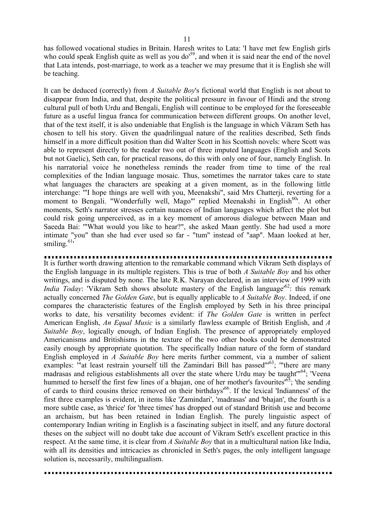has followed vocational studies in Britain. Haresh writes to Lata: 'I have met few English girls who could speak English quite as well as you do<sup>59</sup>, and when it is said near the end of the novel that Lata intends, post-marriage, to work as a teacher we may presume that it is English she will be teaching.

It can be deduced (correctly) from *A Suitable Boy*'s fictional world that English is not about to disappear from India, and that, despite the political pressure in favour of Hindi and the strong cultural pull of both Urdu and Bengali, English will continue to be employed for the foreseeable future as a useful lingua franca for communication between different groups. On another level, that of the text itself, it is also undeniable that English is the language in which Vikram Seth has chosen to tell his story. Given the quadrilingual nature of the realities described, Seth finds himself in a more difficult position than did Walter Scott in his Scottish novels: where Scott was able to represent directly to the reader two out of three imputed languages (English and Scots but not Gaelic), Seth can, for practical reasons, do this with only one of four, namely English. In his narratorial voice he nonetheless reminds the reader from time to time of the real complexities of the Indian language mosaic. Thus, sometimes the narrator takes care to state what languages the characters are speaking at a given moment, as in the following little interchange: '"I hope things are well with you, Meenakshi", said Mrs Chatterji, reverting for a moment to Bengali. "Wonderfully well, Mago"' replied Meenakshi in English<sup>60</sup>'. At other moments, Seth's narrator stresses certain nuances of Indian languages which affect the plot but could risk going unperceived, as in a key moment of amorous dialogue between Maan and Saeeda Bai: '"What would you like to hear?", she asked Maan gently. She had used a more intimate "you" than she had ever used so far - "tum" instead of "aap". Maan looked at her, smiling. $61$ 

It is further worth drawing attention to the remarkable command which Vikram Seth displays of the English language in its multiple registers. This is true of both *A Suitable Boy* and his other writings, and is disputed by none. The late R.K. Narayan declared, in an interview of 1999 with *India Today*: 'Vikram Seth shows absolute mastery of the English language<sup>62</sup>: this remark actually concerned *The Golden Gate*, but is equally applicable to *A Suitable Boy*. Indeed, if one compares the characteristic features of the English employed by Seth in his three principal works to date, his versatility becomes evident: if *The Golden Gate* is written in perfect American English, *An Equal Music* is a similarly flawless example of British English, and *A Suitable Boy*, logically enough, of Indian English. The presence of appropriately employed Americanisms and Britishisms in the texture of the two other books could be demonstrated easily enough by appropriate quotation. The specifically Indian nature of the form of standard English employed in *A Suitable Boy* here merits further comment, via a number of salient examples: "at least restrain yourself till the Zamindari Bill has passed"<sup>63</sup>; "there are many madrasas and religious establishments all over the state where Urdu may be taught<sup>"64</sup>; 'Veena hummed to herself the first few lines of a bhajan, one of her mother's favourites<sup> $65$ </sup>; 'the sending of cards to third cousins thrice removed on their birthdays'66. If the lexical 'Indianness' of the first three examples is evident, in items like 'Zamindari', 'madrasas' and 'bhajan', the fourth is a more subtle case, as 'thrice' for 'three times' has dropped out of standard British use and become an archaism, but has been retained in Indian English. The purely linguistic aspect of contemporary Indian writing in English is a fascinating subject in itself, and any future doctoral theses on the subject will no doubt take due account of Vikram Seth's excellent practice in this respect. At the same time, it is clear from *A Suitable Boy* that in a multicultural nation like India, with all its densities and intricacies as chronicled in Seth's pages, the only intelligent language solution is, necessarily, multilingualism.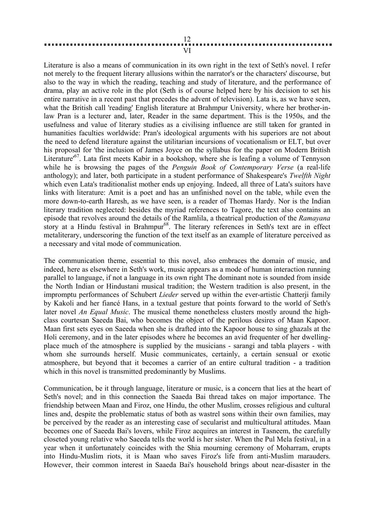## 12 VI

Literature is also a means of communication in its own right in the text of Seth's novel. I refer not merely to the frequent literary allusions within the narrator's or the characters' discourse, but also to the way in which the reading, teaching and study of literature, and the performance of drama, play an active role in the plot (Seth is of course helped here by his decision to set his entire narrative in a recent past that precedes the advent of television). Lata is, as we have seen, what the British call 'reading' English literature at Brahmpur University, where her brother-inlaw Pran is a lecturer and, later, Reader in the same department. This is the 1950s, and the usefulness and value of literary studies as a civilising influence are still taken for granted in humanities faculties worldwide: Pran's ideological arguments with his superiors are not about the need to defend literature against the utilitarian incursions of vocationalism or ELT, but over his proposal for 'the inclusion of James Joyce on the syllabus for the paper on Modern British Literature<sup>67</sup>. Lata first meets Kabir in a bookshop, where she is leafing a volume of Tennyson while he is browsing the pages of the *Penguin Book of Contemporary Verse* (a real-life anthology); and later, both participate in a student performance of Shakespeare's *Twelfth Night* which even Lata's traditionalist mother ends up enjoying. Indeed, all three of Lata's suitors have links with literature: Amit is a poet and has an unfinished novel on the table, while even the more down-to-earth Haresh, as we have seen, is a reader of Thomas Hardy. Nor is the Indian literary tradition neglected: besides the myriad references to Tagore, the text also contains an episode that revolves around the details of the Ramlila, a theatrical production of the *Ramayana* story at a Hindu festival in Brahmpur<sup>68</sup>. The literary references in Seth's text are in effect metaliterary, underscoring the function of the text itself as an example of literature perceived as a necessary and vital mode of communication.

The communication theme, essential to this novel, also embraces the domain of music, and indeed, here as elsewhere in Seth's work, music appears as a mode of human interaction running parallel to language, if not a language in its own right The dominant note is sounded from inside the North Indian or Hindustani musical tradition; the Western tradition is also present, in the impromptu performances of Schubert *Lieder* served up within the ever-artistic Chatterji family by Kakoli and her fiancé Hans, in a textual gesture that points forward to the world of Seth's later novel *An Equal Music*. The musical theme nonetheless clusters mostly around the highclass courtesan Saeeda Bai, who becomes the object of the perilous desires of Maan Kapoor. Maan first sets eyes on Saeeda when she is drafted into the Kapoor house to sing ghazals at the Holi ceremony, and in the later episodes where he becomes an avid frequenter of her dwellingplace much of the atmosphere is supplied by the musicians - sarangi and tabla players - with whom she surrounds herself. Music communicates, certainly, a certain sensual or exotic atmosphere, but beyond that it becomes a carrier of an entire cultural tradition - a tradition which in this novel is transmitted predominantly by Muslims.

Communication, be it through language, literature or music, is a concern that lies at the heart of Seth's novel; and in this connection the Saaeda Bai thread takes on major importance. The friendship between Maan and Firoz, one Hindu, the other Muslim, crosses religious and cultural lines and, despite the problematic status of both as wastrel sons within their own families, may be perceived by the reader as an interesting case of secularist and multicultural attitudes. Maan becomes one of Saeeda Bai's lovers, while Firoz acquires an interest in Tasneem, the carefully closeted young relative who Saeeda tells the world is her sister. When the Pul Mela festival, in a year when it unfortunately coincides with the Shia mourning ceremony of Moharram, erupts into Hindu-Muslim riots, it is Maan who saves Firoz's life from anti-Muslim marauders. However, their common interest in Saaeda Bai's household brings about near-disaster in the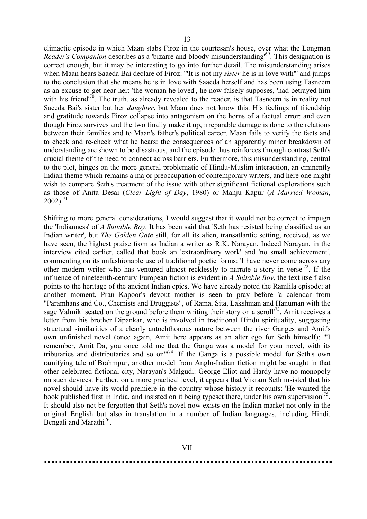climactic episode in which Maan stabs Firoz in the courtesan's house, over what the Longman *Reader's Companion* describes as a 'bizarre and bloody misunderstanding<sup>169</sup>. This designation is correct enough, but it may be interesting to go into further detail. The misunderstanding arises when Maan hears Saaeda Bai declare of Firoz: '"It is not my *sister* he is in love with"' and jumps to the conclusion that she means he is in love with Saaeda herself and has been using Tasneem as an excuse to get near her: 'the woman he loved', he now falsely supposes, 'had betrayed him with his friend<sup>70</sup>. The truth, as already revealed to the reader, is that Tasneem is in reality not Saeeda Bai's sister but her *daughter*, but Maan does not know this. His feelings of friendship and gratitude towards Firoz collapse into antagonism on the horns of a factual error: and even though Firoz survives and the two finally make it up, irreparable damage is done to the relations between their families and to Maan's father's political career. Maan fails to verify the facts and to check and re-check what he hears: the consequences of an apparently minor breakdown of understanding are shown to be disastrous, and the episode thus reinforces through contrast Seth's crucial theme of the need to connect across barriers. Furthermore, this misunderstanding, central to the plot, hinges on the more general problematic of Hindu-Muslim interaction, an eminently Indian theme which remains a major preoccupation of contemporary writers, and here one might wish to compare Seth's treatment of the issue with other significant fictional explorations such as those of Anita Desai (*Clear Light of Day*, 1980) or Manju Kapur (*A Married Woman*,  $2002$ ).<sup>71</sup>

Shifting to more general considerations, I would suggest that it would not be correct to impugn the 'Indianness' of *A Suitable Boy*. It has been said that 'Seth has resisted being classified as an Indian writer', but *The Golden Gate* still, for all its alien, transatlantic setting, received, as we have seen, the highest praise from as Indian a writer as R.K. Narayan. Indeed Narayan, in the interview cited earlier, called that book an 'extraordinary work' and 'no small achievement', commenting on its unfashionable use of traditional poetic forms: 'I have never come across any other modern writer who has ventured almost recklessly to narrate a story in verse<sup> $72$ </sup>. If the influence of nineteenth-century European fiction is evident in *A Suitable Boy*, the text itself also points to the heritage of the ancient Indian epics. We have already noted the Ramlila episode; at another moment, Pran Kapoor's devout mother is seen to pray before 'a calendar from "Paramhans and Co., Chemists and Druggists", of Rama, Sita, Lakshman and Hanuman with the sage Valmiki seated on the ground before them writing their story on a scroll<sup>'73</sup>. Amit receives a letter from his brother Dipankar, who is involved in traditional Hindu spirituality, suggesting structural similarities of a clearly autochthonous nature between the river Ganges and Amit's own unfinished novel (once again, Amit here appears as an alter ego for Seth himself): '"I remember, Amit Da, you once told me that the Ganga was a model for your novel, with its tributaries and distributaries and so on"'74. If the Ganga is a possible model for Seth's own ramifying tale of Brahmpur, another model from Anglo-Indian fiction might be sought in that other celebrated fictional city, Narayan's Malgudi: George Eliot and Hardy have no monopoly on such devices. Further, on a more practical level, it appears that Vikram Seth insisted that his novel should have its world premiere in the country whose history it recounts: 'He wanted the book published first in India, and insisted on it being typeset there, under his own supervision<sup>175</sup>. It should also not be forgotten that Seth's novel now exists on the Indian market not only in the original English but also in translation in a number of Indian languages, including Hindi, Bengali and Marathi<sup>76</sup>.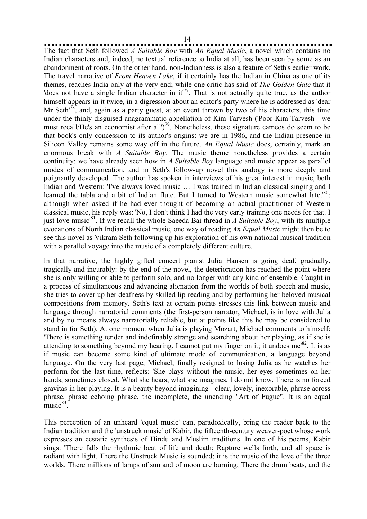14

The fact that Seth followed *A Suitable Boy* with *An Equal Music*, a novel which contains no Indian characters and, indeed, no textual reference to India at all, has been seen by some as an abandonment of roots. On the other hand, non-Indianness is also a feature of Seth's earlier work. The travel narrative of *From Heaven Lake*, if it certainly has the Indian in China as one of its themes, reaches India only at the very end; while one critic has said of *The Golden Gate* that it 'does not have a single Indian character in  $it^{\prime77}$ . That is not actually quite true, as the author himself appears in it twice, in a digression about an editor's party where he is addressed as 'dear Mr Seth<sup> $78$ </sup>, and, again as a party guest, at an event thrown by two of his characters, this time under the thinly disguised anagrammatic appellation of Kim Tarvesh ('Poor Kim Tarvesh - we must recall/He's an economist after all')<sup>79</sup>. Nonetheless, these signature cameos do seem to be that book's only concession to its author's origins: we are in 1986, and the Indian presence in Silicon Valley remains some way off in the future. *An Equal Music* does, certainly, mark an enormous break with *A Suitable Boy*. The music theme nonetheless provides a certain continuity: we have already seen how in *A Suitable Boy* language and music appear as parallel modes of communication, and in Seth's follow-up novel this analogy is more deeply and poignantly developed. The author has spoken in interviews of his great interest in music, both Indian and Western: 'I've always loved music … I was trained in Indian classical singing and I learned the tabla and a bit of Indian flute. But I turned to Western music somewhat late.<sup>80</sup>; although when asked if he had ever thought of becoming an actual practitioner of Western classical music, his reply was: 'No, I don't think I had the very early training one needs for that. I just love music'81. If we recall the whole Saeeda Bai thread in *A Suitable Boy*, with its multiple evocations of North Indian classical music, one way of reading *An Equal Music* might then be to see this novel as Vikram Seth following up his exploration of his own national musical tradition with a parallel voyage into the music of a completely different culture.

In that narrative, the highly gifted concert pianist Julia Hansen is going deaf, gradually, tragically and incurably: by the end of the novel, the deterioration has reached the point where she is only willing or able to perform solo, and no longer with any kind of ensemble. Caught in a process of simultaneous and advancing alienation from the worlds of both speech and music, she tries to cover up her deafness by skilled lip-reading and by performing her beloved musical compositions from memory. Seth's text at certain points stresses this link between music and language through narratorial comments (the first-person narrator, Michael, is in love with Julia and by no means always narratorially reliable, but at points like this he may be considered to stand in for Seth). At one moment when Julia is playing Mozart, Michael comments to himself: 'There is something tender and indefinably strange and searching about her playing, as if she is attending to something beyond my hearing. I cannot put my finger on it; it undoes me<sup>82</sup>. It is as if music can become some kind of ultimate mode of communication, a language beyond language. On the very last page, Michael, finally resigned to losing Julia as he watches her perform for the last time, reflects: 'She plays without the music, her eyes sometimes on her hands, sometimes closed. What she hears, what she imagines, I do not know. There is no forced gravitas in her playing. It is a beauty beyond imagining - clear, lovely, inexorable, phrase across phrase, phrase echoing phrase, the incomplete, the unending "Art of Fugue". It is an equal  $\frac{1}{2}$  music<sup>83</sup>.

This perception of an unheard 'equal music' can, paradoxically, bring the reader back to the Indian tradition and the 'unstruck music' of Kabir, the fifteenth-century weaver-poet whose work expresses an ecstatic synthesis of Hindu and Muslim traditions. In one of his poems, Kabir sings: 'There falls the rhythmic beat of life and death; Rapture wells forth, and all space is radiant with light. There the Unstruck Music is sounded; it is the music of the love of the three worlds. There millions of lamps of sun and of moon are burning; There the drum beats, and the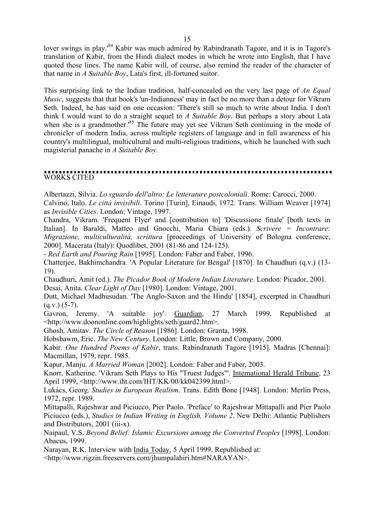lover swings in play.<sup>84</sup> Kabir was much admired by Rabindranath Tagore, and it is in Tagore's translation of Kabir, from the Hindi dialect modes in which he wrote into English, that I have quoted those lines. The name Kabir will, of course, also remind the reader of the character of that name in *A Suitable Boy*, Lata's first, ill-fortuned suitor.

This surprising link to the Indian tradition, half-concealed on the very last page of *An Equal Music*, suggests that that book's 'un-Indianness' may in fact be no more than a detour for Vikram Seth. Indeed, he has said on one occasion: 'There's still so much to write about India. I don't think I would want to do a straight sequel to *A Suitable Boy*. But perhaps a story about Lata when she is a grandmother.<sup>85</sup> The future may yet see Vikram Seth continuing in the mode of chronicler of modern India, across multiple registers of language and in full awareness of his country's multilingual, multicultural and multi-religious traditions, which he launched with such magisterial panache in *A Suitable Boy.* 

# WORKS CITED

Albertazzi, Silvia. *Lo sguardo dell'altro: Le letterature postcoloniali*. Rome: Carocci, 2000.

Calvino, Italo. *Le città invisibili*. Torino [Turin], Einaudi, 1972. Trans. William Weaver [1974] as *Invisible Cities*. London: Vintage, 1997.

Chandra, Vikram. 'Frequent Flyer' and [contribution to] 'Discussione finale' [both texts in Italian]. In Baraldi, Matteo and Gnocchi, Maria Chiara (eds.). *Scrivere = Incontrare: Migrazione, multiculturalità, scrittura* [proceedings of University of Bologna conference, 2000]. Macerata (Italy): Quodlibet, 2001 (81-86 and 124-125).

- *Red Earth and Pouring Rain* [1995]. London: Faber and Faber, 1996.

Chatterjee, Bakhimchandra. 'A Popular Literature for Bengal' [1870]. In Chaudhuri (q.v.) (13- 19).

Chaudhuri, Amit (ed.). *The Picador Book of Modern Indian Literature*. London: Picador, 2001. Desai, Anita. *Clear Light of Day* [1980]. London: Vintage, 2001.

Dutt, Michael Madhusudan. 'The Anglo-Saxon and the Hindu' [1854], excerpted in Chaudhuri  $(q.v.)$  (5-7).

Gavron, Jeremy. 'A suitable joy'. Guardian, 27 March 1999. Republished at <http://www.doononline.com/highlights/seth/guard2.htm>.

Ghosh, Amitav. *The Circle of Reason* [1986]. London: Granta, 1998.

Hobsbawm, Eric. *The New Century*. London: Little, Brown and Company, 2000.

Kabir. *One Hundred Poems of Kabir*, trans. Rabindranath Tagore [1915]. Madras [Chennai]: Macmillan, 1979, repr. 1985.

Kapur, Manju. *A Married Woman* [2002]. London: Faber and Faber, 2003.

Knorr, Katherine. 'Vikram Seth Plays to His "Truest Judges"'. International Herald Tribune, 23 April 1999, <http://www.iht.com/IHT/KK/00/kk042399.html>.

Lukács, Georg. *Studies in European Realism*. Trans. Edith Bone [1948]. London: Merlin Press, 1972, repr. 1989.

Mittapalli, Rajeshwar and Piciucco, Pier Paolo. 'Preface' to Rajeshwar Mittapalli and Pier Paolo Piciucco (eds.), *Studies in Indian Writing in English, Volume 2*. New Delhi: Atlantic Publishers and Distributors, 2001 (iii-x).

Naipaul, V.S. *Beyond Belief: Islamic Excursions among the Converted Peoples* [1998]. London: Abacus, 1999.

Narayan, R.K. Interview with India Today, 5 April 1999. Republished at:

<http://www.rigzin.freeservers.com/jhumpalahiri.htm#NARAYAN>.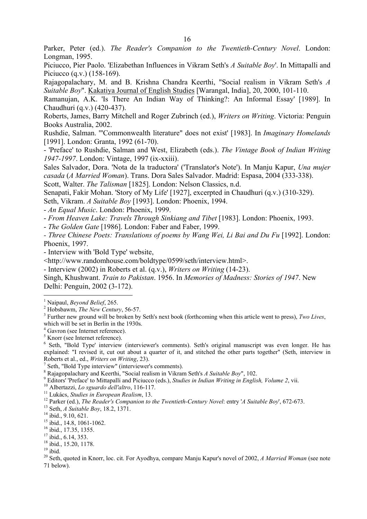Parker, Peter (ed.). *The Reader's Companion to the Twentieth-Century Novel*. London: Longman, 1995.

Piciucco, Pier Paolo. 'Elizabethan Influences in Vikram Seth's *A Suitable Boy*'. In Mittapalli and Piciucco (q.v.) (158-169).

Rajagopalachary, M. and B. Krishna Chandra Keerthi, "Social realism in Vikram Seth's *A Suitable Boy*". Kakatiya Journal of English Studies [Warangal, India], 20, 2000, 101-110.

Ramanujan, A.K. 'Is There An Indian Way of Thinking?: An Informal Essay' [1989]. In Chaudhuri (q.v.) (420-437).

Roberts, James, Barry Mitchell and Roger Zubrinch (ed.), *Writers on Writing*. Victoria: Penguin Books Australia, 2002.

Rushdie, Salman. '"Commonwealth literature" does not exist' [1983]. In *Imaginary Homelands* [1991]. London: Granta, 1992 (61-70).

- 'Preface' to Rushdie, Salman and West, Elizabeth (eds.). *The Vintage Book of Indian Writing 1947-1997*. London: Vintage, 1997 (ix-xxiii).

Sales Salvador, Dora. 'Nota de la traductora' ('Translator's Note'). In Manju Kapur, *Una mujer casada* (*A Married Woman*). Trans. Dora Sales Salvador. Madrid: Espasa, 2004 (333-338).

Scott, Walter. *The Talisman* [1825]. London: Nelson Classics, n.d.

Senapati, Fakir Mohan. 'Story of My Life' [1927], excerpted in Chaudhuri (q.v.) (310-329). Seth, Vikram. *A Suitable Boy* [1993]. London: Phoenix, 1994.

- *An Equal Music*. London: Phoenix, 1999.

- *From Heaven Lake: Travels Through Sinkiang and Tibet* [1983]. London: Phoenix, 1993.

- *The Golden Gate* [1986]. London: Faber and Faber, 1999.

*- Three Chinese Poets: Translations of poems by Wang Wei, Li Bai and Du Fu* [1992]. London: Phoenix, 1997.

- Interview with 'Bold Type' website,

<http://www.randomhouse.com/boldtype/0599/seth/interview.html>.

- Interview (2002) in Roberts et al. (q.v.), *Writers on Writing* (14-23).

Singh, Khushwant. *Train to Pakistan*. 1956. In *Memories of Madness: Stories of 1947*. New Delhi: Penguin, 2002 (3-172).

<sup>9</sup> Editors' 'Preface' to Mittapalli and Piciucco (eds.), *Studies in Indian Writing in English, Volume 2*, vii.<br><sup>10</sup> Albertazzi, *Lo sguardo dell'altro*, 116-117.<br><sup>11</sup> Lukács, *Studies in European Realism*, 13.<br><sup>12</sup> Park

<sup>15</sup> ibid., 14.8, 1061-1062.

16 ibid., 17.35, 1355.

<sup>17</sup> ibid., 6.14, 353.

<sup>18</sup> ibid., 15.20, 1178.

 $19$  ibid.

 $\overline{a}$ 

20 Seth, quoted in Knorr, loc. cit. For Ayodhya, compare Manju Kapur's novel of 2002, *A Married Woman* (see note 71 below).

<sup>&</sup>lt;sup>1</sup> Naipaul, *Beyond Belief*, 265.

<sup>&</sup>lt;sup>2</sup> Hobsbawm, *The New Century*, 56-57.

Further new ground will be broken by Seth's next book (forthcoming when this article went to press), *Two Lives*, which will be set in Berlin in the 1930s.

<sup>4</sup> Gavron (see Internet reference).

<sup>5</sup> Knorr (see Internet reference).

<sup>&</sup>lt;sup>6</sup> Seth, "Bold Type' interview (interviewer's comments). Seth's original manuscript was even longer. He has explained: "I revised it, cut out about a quarter of it, and stitched the other parts together" (Seth, interview in Roberts et al., ed., *Writers on Writing*, 23). 7

 $\frac{7}{7}$  Seth, "Bold Type interview" (interviewer's comments).

<sup>&</sup>lt;sup>8</sup> Rajagopalachary and Keerthi, "Social realism in Vikram Seth's *A Suitable Boy*", 102.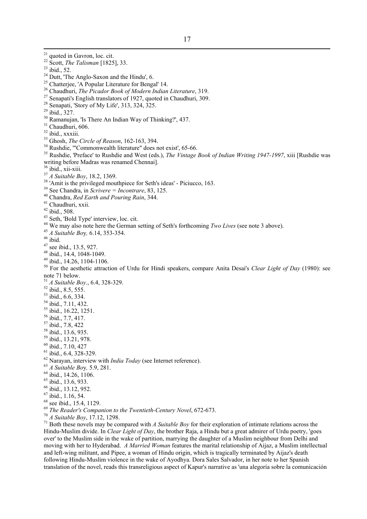<sup>21</sup> quoted in Gavron, loc. cit. <sup>22</sup> Scott, *The Talisman* [1825], 33.<br><sup>23</sup> ibid., 52. <sup>24</sup> Dutt, The Anglo-Saxon and the Hindu', 6. 25 Chatterjee, 'A Popular Literature for Bengal' 14. 26 Chaudhuri, *The Picador Book of Modern Indian Literature*, 319.<br><sup>27</sup> Senapati's English translators of 1927, quoted in Chaudhuri, 309. <sup>28</sup> Senapati, 'Story of My Life', 313, 324, 325. 29 ibid., 327. 30 Ramanujan, 'Is There An Indian Way of Thinking?', 437. <sup>31</sup> Chaudhuri, 606.  $32$  ibid., xxxiii.<br> $33$  Ghosh, *The Circle of Reason*, 162-163, 394. <sup>34</sup> Rushdie, "'Commonwealth literature" does not exist', 65-66. 35 Rushdie, 'Preface' to Rushdie and West (eds.), *The Vintage Book of Indian Writing 1947-1997*, xiii [Rushdie was writing before Madras was renamed Chennai].  $\frac{36}{37}$  ibid., xii-xiii.<br> $\frac{37}{37}$  A Suitable Boy, 18.2, 1369. <sup>38</sup> 'Amit is the privileged mouthpiece for Seth's ideas' - Piciucco, 163.<br><sup>39</sup> See Chandra, in *Scrivere* = *Incontrare*, 83, 125.<br><sup>40</sup> Chandra, *Red Earth and Pouring Rain*, 344.<br><sup>41</sup> Chaudhuri. xxii. 42 ibid., 508. 43 Seth, 'Bold Type' interview, loc. cit. <sup>44</sup> We may also note here the German setting of Seth's forthcoming *Two Lives* (see note 3 above).<br><sup>45</sup> *A Suitable Boy,* 6.14, 353-354.<br><sup>46</sup> ibid.  $47$  see ibid., 13.5, 927. 48 ibid., 14.4, 1048-1049.  $49$  ibid., 14.26, 1104-1106. 50 For the aesthetic attraction of Urdu for Hindi speakers, compare Anita Desai's *Clear Light of Day* (1980): see note 71 below. <sup>51</sup> *A Suitable Boy*., 6.4, 328-329. 52 ibid., 8.5, 555. 53 ibid., 6.6, 334. 54 ibid., 7.11, 432. <sup>55</sup> ibid., 16.22, 1251. 56 ibid., 7.7, 417. 57 ibid., 7.8, 422 58 ibid., 13.6, 935. 59 ibid., 13.21, 978. 60 ibid., 7.10, 427  $61$  ibid., 6.4, 328-329. 62 Narayan, interview with *India Today* (see Internet reference). 63 *A Suitable Bo*y*,* 5.9, 281. 64 ibid., 14.26, 1106.  $^{65}$  ibid., 13.6, 933. 66 ibid., 13.12, 952.  $67$  ibid., 1.16, 54.  $^{68}$  see ibid., 15.4, 1129.<br> $^{69}$  The Reader's Companion to the Twentieth-Century Novel, 672-673. <sup>70</sup> *A Suitable Boy*, 17.12, 1298.<br><sup>71</sup> Both these novels may be compared with *A Suitable Boy* for their exploration of intimate relations across the Hindu-Muslim divide. In *Clear Light of Day*, the brother Raja, a Hindu but a great admirer of Urdu poetry, 'goes over' to the Muslim side in the wake of partition, marrying the daughter of a Muslim neighbour from Delhi and moving with her to Hyderabad. *A Married Woman* features the marital relationship of Aijaz, a Muslim intellectual

and left-wing militant, and Pipee, a woman of Hindu origin, which is tragically terminated by Aijaz's death

following Hindu-Muslim violence in the wake of Ayodhya. Dora Sales Salvador, in her note to her Spanish translation of the novel, reads this transreligious aspect of Kapur's narrative as 'una alegoría sobre la comunicación